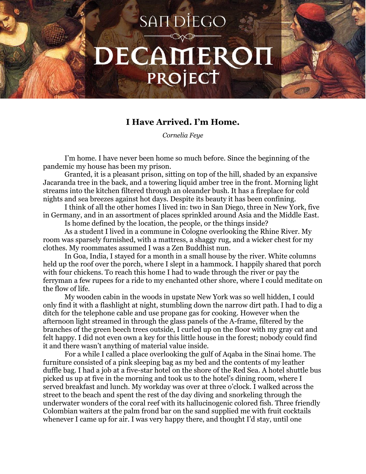## **SANDIEGO** DECAMEROH PROJECT

## **I Have Arrived. I'm Home.**

*Cornelia Feye*

I'm home. I have never been home so much before. Since the beginning of the pandemic my house has been my prison.

Granted, it is a pleasant prison, sitting on top of the hill, shaded by an expansive Jacaranda tree in the back, and a towering liquid amber tree in the front. Morning light streams into the kitchen filtered through an oleander bush. It has a fireplace for cold nights and sea breezes against hot days. Despite its beauty it has been confining.

I think of all the other homes I lived in: two in San Diego, three in New York, five in Germany, and in an assortment of places sprinkled around Asia and the Middle East.

Is home defined by the location, the people, or the things inside?

As a student I lived in a commune in Cologne overlooking the Rhine River. My room was sparsely furnished, with a mattress, a shaggy rug, and a wicker chest for my clothes. My roommates assumed I was a Zen Buddhist nun.

In Goa, India, I stayed for a month in a small house by the river. White columns held up the roof over the porch, where I slept in a hammock. I happily shared that porch with four chickens. To reach this home I had to wade through the river or pay the ferryman a few rupees for a ride to my enchanted other shore, where I could meditate on the flow of life.

My wooden cabin in the woods in upstate New York was so well hidden, I could only find it with a flashlight at night, stumbling down the narrow dirt path. I had to dig a ditch for the telephone cable and use propane gas for cooking. However when the afternoon light streamed in through the glass panels of the A-frame, filtered by the branches of the green beech trees outside, I curled up on the floor with my gray cat and felt happy. I did not even own a key for this little house in the forest; nobody could find it and there wasn't anything of material value inside.

For a while I called a place overlooking the gulf of Aqaba in the Sinai home. The furniture consisted of a pink sleeping bag as my bed and the contents of my leather duffle bag. I had a job at a five-star hotel on the shore of the Red Sea. A hotel shuttle bus picked us up at five in the morning and took us to the hotel's dining room, where I served breakfast and lunch. My workday was over at three o'clock. I walked across the street to the beach and spent the rest of the day diving and snorkeling through the underwater wonders of the coral reef with its hallucinogenic colored fish. Three friendly Colombian waiters at the palm frond bar on the sand supplied me with fruit cocktails whenever I came up for air. I was very happy there, and thought I'd stay, until one